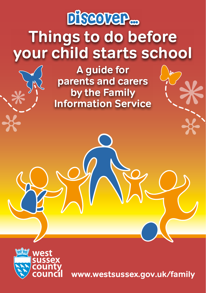# **Discover of the domain starts school Things to do before your child starts school**

**A guide for parents and carers by the Family Information Service**



**www.westsussex.gov.uk/family**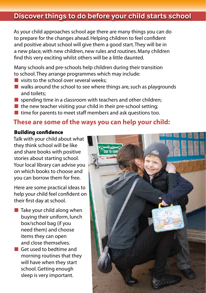## **Discover Things to do before your child starts school things to do before your child starts school**

As your child approaches school age there are many things you can do to prepare for the changes ahead. Helping children to feel confident and positive about school will give them a good start. They will be in a new place, with new children, new rules and routines. Many children find this very exciting whilst others will be a little daunted.

Many schools and pre-schools help children during their transition to school. They arrange programmes which may include:

- $\blacksquare$  visits to the school over several weeks:
- $\blacksquare$  walks around the school to see where things are, such as playgrounds and toilets;
- spending time in a classroom with teachers and other children;
- $\blacksquare$  the new teacher visiting your child in their pre-school setting;
- $\blacksquare$  time for parents to meet staff members and ask questions too.

## **These are some of the ways you can help your child:**

#### Building confidence

Talk with your child about what they think school will be like and share books with positive stories about starting school. Your local library can advise you on which books to choose and you can borrow them for free.

Here are some practical ideas to help your child feel confident on their first day at school.

- $\blacksquare$  Take your child along when buying their uniform, lunch box/school bag (if you need them) and choose items they can open and close themselves.
- n Get used to bedtime and morning routines that they will have when they start school. Getting enough sleep is very important.

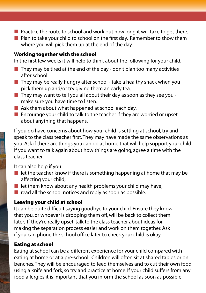- $\blacksquare$  Practice the route to school and work out how long it will take to get there.
- $\blacksquare$  Plan to take your child to school on the first day. Remember to show them where you will pick them up at the end of the day.

### Working together with the school

In the first few weeks it will help to think about the following for your child.

- $\blacksquare$  They may be tired at the end of the day don't plan too many activities after school.
- $\blacksquare$  They may be really hungry after school take a healthy snack when you pick them up and/or try giving them an early tea.
- $\blacksquare$  They may want to tell you all about their day as soon as they see you make sure you have time to listen.
- $\blacksquare$  Ask them about what happened at school each day.
- $\blacksquare$  Encourage your child to talk to the teacher if they are worried or upset about anything that happens.

If you do have concerns about how your child is settling at school, try and speak to the class teacher first. They may have made the same observations as you. Ask if there are things you can do at home that will help support your child. If you want to talk again about how things are going, agree a time with the class teacher.

It can also help if you:

- $\blacksquare$  let the teacher know if there is something happening at home that may be affecting your child;
- $\blacksquare$  let them know about any health problems your child may have;
- $\blacksquare$  read all the school notices and reply as soon as possible.

## Leaving your child at school

It can be quite difficult saying goodbye to your child. Ensure they know that you, or whoever is dropping them off, will be back to collect them later. If they're really upset, talk to the class teacher about ideas for making the separation process easier and work on them together. Ask if you can phone the school office later to check your child is okay.

## Eating at school

Eating at school can be a different experience for your child compared with eating at home or at a pre-school. Children will often sit at shared tables or on benches. They will be encouraged to feed themselves and to cut their own food using a knife and fork, so try and practice at home. If your child suffers from any food allergies it is important that you inform the school as soon as possible.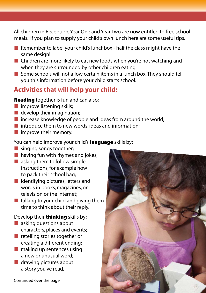All children in Reception, Year One and Year Two are now entitled to free school meals. If you plan to supply your child's own lunch here are some useful tips.

- $\blacksquare$  Remember to label your child's lunchbox half the class might have the same design!
- $\blacksquare$  Children are more likely to eat new foods when you're not watching and when they are surrounded by other children eating.
- $\blacksquare$  Some schools will not allow certain items in a lunch box. They should tell you this information before your child starts school.

## **Activities that will help your child:**

**Reading** together is fun and can also:

- $\blacksquare$  improve listening skills;
- $\blacksquare$  develop their imagination;
- $\blacksquare$  increase knowledge of people and ideas from around the world;
- $\blacksquare$  introduce them to new words, ideas and information:
- $\blacksquare$  improve their memory.

You can help improve your child's **language** skills by:

- $\blacksquare$  singing songs together;
- $\blacksquare$  having fun with rhymes and jokes;
- $\blacksquare$  asking them to follow simple instructions, for example how to pack their school bag;
- $\blacksquare$  identifying pictures, letters and words in books, magazines, on television or the internet;
- $\blacksquare$  talking to your child and giving them time to think about their reply.

Develop their **thinking** skills by:

- $\blacksquare$  asking questions about characters, places and events;
- $\blacksquare$  retelling stories together or creating a different ending;
- $\blacksquare$  making up sentences using a new or unusual word;
- $\blacksquare$  drawing pictures about a story you've read.

Continued over the page.

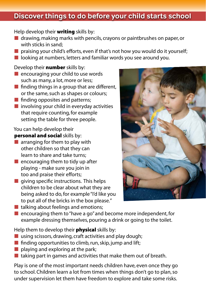## **Discover things to do before your child starts school**

#### Help develop their **writing** skills by:

- $\blacksquare$  drawing, making marks with pencils, crayons or paintbrushes on paper, or with sticks in sand;
- n praising your child's efforts, even if that's not how you would do it yourself:
- $\blacksquare$  looking at numbers, letters and familiar words you see around you.

#### Develop their **number** skills by:

- $\blacksquare$  encouraging your child to use words such as many, a lot, more or less;
- $\blacksquare$  finding things in a group that are different, or the same, such as shapes or colours;
- $\blacksquare$  finding opposites and patterns;
- $\blacksquare$  involving your child in everyday activities that require counting, for example setting the table for three people.

#### You can help develop their personal and social skills by:

- $\blacksquare$  arranging for them to play with other children so that they can learn to share and take turns;
- $\blacksquare$  encouraging them to tidy up after playing - make sure you join in too and praise their efforts;
- qiving specific instructions. This helps children to be clear about what they are being asked to do, for example "I'd like you to put all of the bricks in the box please."
- $\blacksquare$  talking about feelings and emotions;
- $\blacksquare$  encouraging them to "have a go" and become more independent, for example dressing themselves, pouring a drink or going to the toilet.

#### Help them to develop their **physical** skills by:

- $\blacksquare$  using scissors, drawing, craft activities and play dough;
- $\blacksquare$  finding opportunities to climb, run, skip, jump and lift;
- $\blacksquare$  playing and exploring at the park;
- $\blacksquare$  taking part in games and activities that make them out of breath.

Play is one of the most important needs children have, even once they go to school. Children learn a lot from times when things don't go to plan, so under supervision let them have freedom to explore and take some risks.